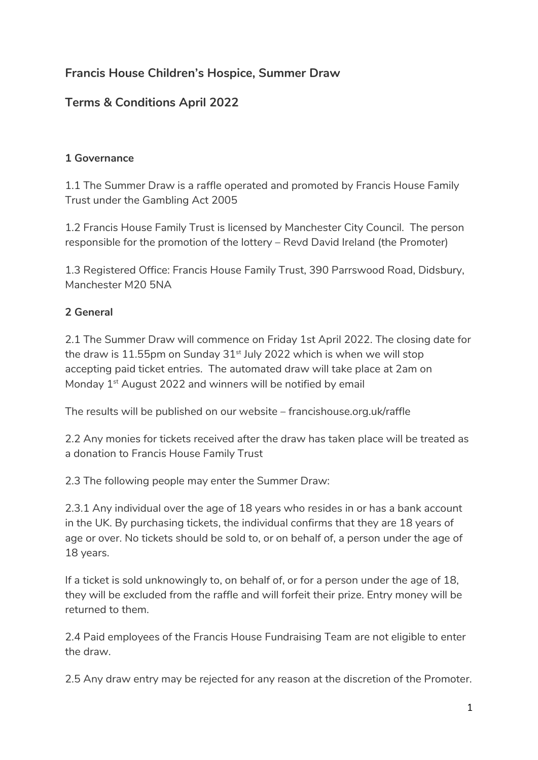# **Francis House Children's Hospice, Summer Draw**

## **Terms & Conditions April 2022**

#### **1 Governance**

1.1 The Summer Draw is a raffle operated and promoted by Francis House Family Trust under the Gambling Act 2005

1.2 Francis House Family Trust is licensed by Manchester City Council. The person responsible for the promotion of the lottery – Revd David Ireland (the Promoter)

1.3 Registered Office: Francis House Family Trust, 390 Parrswood Road, Didsbury, Manchester M20 5NA

#### **2 General**

2.1 The Summer Draw will commence on Friday 1st April 2022. The closing date for the draw is 11.55pm on Sunday  $31<sup>st</sup>$  July 2022 which is when we will stop accepting paid ticket entries. The automated draw will take place at 2am on Monday 1<sup>st</sup> August 2022 and winners will be notified by email

The results will be published on our website – francishouse.org.uk/raffle

2.2 Any monies for tickets received after the draw has taken place will be treated as a donation to Francis House Family Trust

2.3 The following people may enter the Summer Draw:

2.3.1 Any individual over the age of 18 years who resides in or has a bank account in the UK. By purchasing tickets, the individual confirms that they are 18 years of age or over. No tickets should be sold to, or on behalf of, a person under the age of 18 years.

If a ticket is sold unknowingly to, on behalf of, or for a person under the age of 18, they will be excluded from the raffle and will forfeit their prize. Entry money will be returned to them.

2.4 Paid employees of the Francis House Fundraising Team are not eligible to enter the draw.

2.5 Any draw entry may be rejected for any reason at the discretion of the Promoter.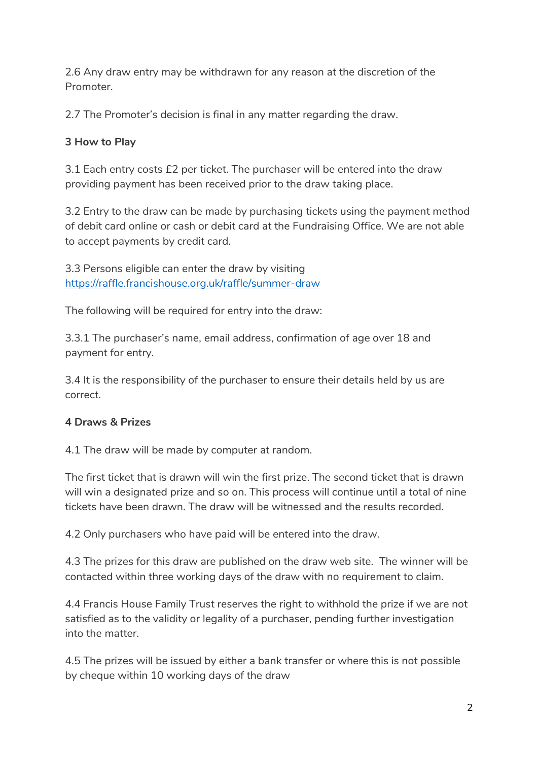2.6 Any draw entry may be withdrawn for any reason at the discretion of the Promoter.

2.7 The Promoter's decision is final in any matter regarding the draw.

### **3 How to Play**

3.1 Each entry costs £2 per ticket. The purchaser will be entered into the draw providing payment has been received prior to the draw taking place.

3.2 Entry to the draw can be made by purchasing tickets using the payment method of debit card online or cash or debit card at the Fundraising Office. We are not able to accept payments by credit card.

3.3 Persons eligible can enter the draw by visiting <https://raffle.francishouse.org.uk/raffle/summer-draw>

The following will be required for entry into the draw:

3.3.1 The purchaser's name, email address, confirmation of age over 18 and payment for entry.

3.4 It is the responsibility of the purchaser to ensure their details held by us are correct.

### **4 Draws & Prizes**

4.1 The draw will be made by computer at random.

The first ticket that is drawn will win the first prize. The second ticket that is drawn will win a designated prize and so on. This process will continue until a total of nine tickets have been drawn. The draw will be witnessed and the results recorded.

4.2 Only purchasers who have paid will be entered into the draw.

4.3 The prizes for this draw are published on the draw web site. The winner will be contacted within three working days of the draw with no requirement to claim.

4.4 Francis House Family Trust reserves the right to withhold the prize if we are not satisfied as to the validity or legality of a purchaser, pending further investigation into the matter.

4.5 The prizes will be issued by either a bank transfer or where this is not possible by cheque within 10 working days of the draw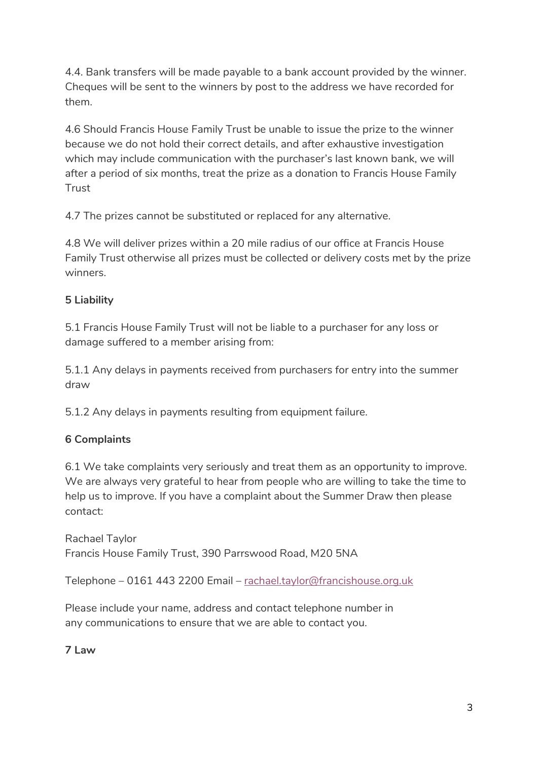4.4. Bank transfers will be made payable to a bank account provided by the winner. Cheques will be sent to the winners by post to the address we have recorded for them.

4.6 Should Francis House Family Trust be unable to issue the prize to the winner because we do not hold their correct details, and after exhaustive investigation which may include communication with the purchaser's last known bank, we will after a period of six months, treat the prize as a donation to Francis House Family **Trust** 

4.7 The prizes cannot be substituted or replaced for any alternative.

4.8 We will deliver prizes within a 20 mile radius of our office at Francis House Family Trust otherwise all prizes must be collected or delivery costs met by the prize winners.

### **5 Liability**

5.1 Francis House Family Trust will not be liable to a purchaser for any loss or damage suffered to a member arising from:

5.1.1 Any delays in payments received from purchasers for entry into the summer draw

5.1.2 Any delays in payments resulting from equipment failure.

### **6 Complaints**

6.1 We take complaints very seriously and treat them as an opportunity to improve. We are always very grateful to hear from people who are willing to take the time to help us to improve. If you have a complaint about the Summer Draw then please contact:

Rachael Taylor Francis House Family Trust, 390 Parrswood Road, M20 5NA

Telephone – 0161 443 2200 Email – [rachael.taylor@francishouse.org.uk](mailto:rachael.taylor@francishouse.org.uk)

Please include your name, address and contact telephone number in any communications to ensure that we are able to contact you.

**7 Law**